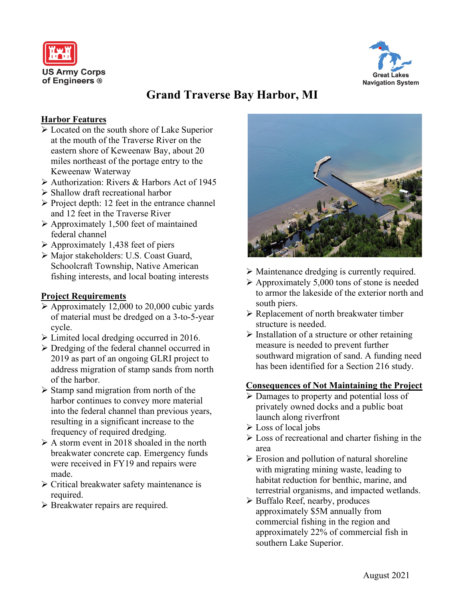



# **Grand Traverse Bay Harbor, MI**

#### **Harbor Features**

- $\triangleright$  Located on the south shore of Lake Superior at the mouth of the Traverse River on the eastern shore of Keweenaw Bay, about 20 miles northeast of the portage entry to the Keweenaw Waterway
- Authorization: Rivers & Harbors Act of 1945
- Shallow draft recreational harbor
- $\triangleright$  Project depth: 12 feet in the entrance channel and 12 feet in the Traverse River
- $\triangleright$  Approximately 1,500 feet of maintained federal channel
- $\triangleright$  Approximately 1,438 feet of piers
- Major stakeholders: U.S. Coast Guard, Schoolcraft Township, Native American fishing interests, and local boating interests

## **Project Requirements**

- $\triangleright$  Approximately 12,000 to 20,000 cubic yards of material must be dredged on a 3-to-5-year cycle.
- Limited local dredging occurred in 2016.
- Dredging of the federal channel occurred in 2019 as part of an ongoing GLRI project to address migration of stamp sands from north of the harbor.
- $\triangleright$  Stamp sand migration from north of the harbor continues to convey more material into the federal channel than previous years, resulting in a significant increase to the frequency of required dredging.
- $\triangleright$  A storm event in 2018 shoaled in the north breakwater concrete cap. Emergency funds were received in FY19 and repairs were made.
- Critical breakwater safety maintenance is required.
- $\triangleright$  Breakwater repairs are required.



- $\triangleright$  Maintenance dredging is currently required.
- $\triangleright$  Approximately 5,000 tons of stone is needed to armor the lakeside of the exterior north and south piers.
- $\triangleright$  Replacement of north breakwater timber structure is needed.
- $\triangleright$  Installation of a structure or other retaining measure is needed to prevent further southward migration of sand. A funding need has been identified for a Section 216 study.

## **Consequences of Not Maintaining the Project**

- Damages to property and potential loss of privately owned docks and a public boat launch along riverfront
- $\triangleright$  Loss of local jobs
- $\triangleright$  Loss of recreational and charter fishing in the area
- $\triangleright$  Erosion and pollution of natural shoreline with migrating mining waste, leading to habitat reduction for benthic, marine, and terrestrial organisms, and impacted wetlands.
- $\triangleright$  Buffalo Reef, nearby, produces approximately \$5M annually from commercial fishing in the region and approximately 22% of commercial fish in southern Lake Superior.